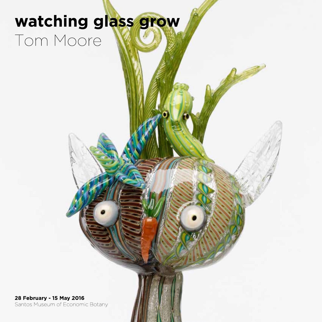# watching glass grow Tom Moore

28 February - 15 May 2016 Santos Museum of Economic Botany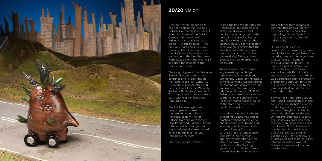

# **20/20** vision

Growing "things" under glass has been part of the Adelaide Botanic Garden's history since its inception. Some of the Botanic Garden's first exotic plants arrived in transportable glass boxes — Wardian cases — the only way plants could survive the long difficult journey. Once the plants were located in their garden beds, the Wardian cases were placed along the main walk and used for specimens that required protection.

The link between glass and botanic gardens takes us to the same time and place — Renaissance Italy. The first Botanic Gardens were those of Pisa, Padua and Florence. Padua is the oldest botanic garden (on its original site) established in 1545 by the Most Serene Republic of Venice.<sup>i</sup>

The story of glass in the Adelaide Botanic Garden spans three centuries and is told through the Palm House (19<sup>th</sup> Century), Bicentennial Conservatory (20th Century) and Amazon Waterlily Pavilion (21<sup>st</sup> Century). And now, Tom Moore tells us an important story with glass, in glass and through glass.

The story begins in Veneto …

During the late Middle Ages and Renaissance, the glassmakers of Venice, discovered that plant ash (primarily that of the coastal plant species *Salsoa* and *Salicornia*) produced the clearest glass. Clear, transparent glass was so desirable that the Venetian authorities outlawed the use of any other plants in glassmaking.<sup>ii</sup> Fittingly these species are now referred to as glassworts.

This inconspicuous advance in glassmaking had huge ramifications on science and technology. Based on the quality of Venetian glass, Galileo insisted on Murano glassmakers creating and grinding the lens of his telescope. On August 25, 1609 Galileo showcased his invention to the Venetian senate in the Plaza San Marco. Galileo looked at the stars and a scientific revolution was born.

A much smaller lens, in the form of reading glasses, had earlier drastically changed the world and its appetite for books and learning — with the associated surge of literacy it's of no surprise that the Renaissance was born in Italy. Similarly another manifestation of this clear glass was the Venetian perfection of the "looking glass" or mirror. While mirrors of sorts have been in use since

ancient times they became so common that one wonders of the impact on the collective psychology of identity — from that of community to that of individuality.

During the 19th Century Joseph Paxton, inspired by the architecture of the giant Amazon waterlily, created the magnificent Crystal Palace — home of the 1851 Great Exhibition. The massive glasshouse (well over 500 metres in length) was erected in Hyde Park, London and at the close of the exhibition was dismantled and re-erected in Sydenham, South London. This building is the precursor to the glass and steel architecture of our modern cities.

Between 1887 and 1936 Leopold and Rudolf Blaschka (father and son) spent nearly half a century producing the most detailed and accurate glass models of plants and flowers for Harvard University's Botanical Museum. The Blaschka's produced more than four thousand models and the Harvard Glass Flowers are now famous. It is less known that the Blaschka's original business was the manufacture of glass eyes and their first foray into natural history was not flowers but models of marine invertebrates.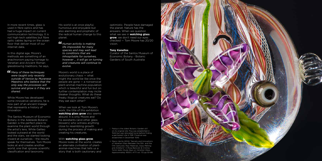In more recent times, glass is used in fibre optics and has had a huge impact on current communication technology. It is not high-tech satellites but fibre optic cables laying on the ocean floor that deliver most of our internet data.

In this digital age, Moore's methods are something of an anachronism paying homage to Venetian and Ancient Roman glassblowing traditions, he says,

*Many of these techniques were taught only recently outside of Venice by Muranese Maestros who believe that the only way the processes will survive and grow is if they are shared.*

While Moore has developed some innovative variations, he is now part of an ancient lineage that represents a history of innovation.

The Santos Museum of Economic Botany in the Adelaide Botanic Garden is the perfect place to examine the plant world through the artist's lens. While Galileo looked outward at the world and the stars, we started looking inward at ourselves – the results speak for themselves. Tom Moore looks at and creates another world, one that ignores scientific classification and taxonomy.

His world is at once playful, humorous and enjoyable but also alarming and prophetic of the radical human change to this planet.

*Human activity is making life impossible for many species and may well lead to conditions that are inhospitable for ourselves, however … it will go on turning and creatures will continue to evolve.* 

- Padua is the oldest Botanic Garden still on its original site. Pisa was established in 1544 but was relocated twice before finding a permanent site in 1591. Florence was established in December 1545.
- ii Marco Verità (2014) "Secrets and Innovations of Venetian Glass Between the 15th and the 17th Centuries: Raw Materials, Glass Melting and Artefacts" in Rosa Barovier & Cristina Tonini (eds) *Study Days on Venetian Glass, Approximately 1600's. ATTI* vol. 172 pp 53-68.



Moore's world is a place of evolutionary chaos — what might the world be like once the people are gone — a nonsensical plant-animal-machine population which is beautiful and fun but on further contemplation may incite bleaker thoughts. What do these freaky illogical creatures eat? Do they eat each other?

When we look at Tom Moore's work, the title of this exhibition **watching glass grow** also seems absurd. It is only Moore and his assistants (and other glass blowers) who witness anything close to resembling growth during the process of making and creating his creatures.

#### With **watching glass grow**,

Moore looks at the world, creates an alternate civilisation of plantanimal-machines that tells us a story that is both cautionary and

optimistic. People have damaged the planet. Nature has the answers. When we question what we see in **watching glass grow**, we don't need our eyes checked — Tom Moore has 20/20 vision.

#### **Tony Kanellos**

Curator of the Santos Museum of Economic Botany - Botanic Gardens of South Australia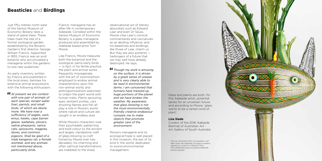An early inventory written by Francis and published in the local press, itemises his extensive animal acquisitions with the following enthusiasm,

*At present we are content with one pair of animals of each species, except water fowl, parrots, and small birds, of which we desire more. We have now a sufficiency of eagles, owls, emus, hawks, cape barren geese, wallabies, plovers, native pheasants, native cats, opossums, magpies, doves, and common pigeons. Shall be glad of a male kangaroo rat, a female wombat, and any animals not mentioned above, particularly birds.*

Francis' menagerie has an after-life in contemporary Adelaide. Corralled within the Santos Museum of Economic Botany is a glass menagerie produced and assembled by Adelaide based artist Tom Moore.

Like Francis, Moore treasures both the botanical and the zoological, particularly birds — in fact, in his fertile practice the plant and animal works frequently miscegenate, with the art of zoomorphism employed to endow animal characteristics upon the non-animal world, and anthropomorphism exercised to ordain the plant world with human traits. Plants sprouting eyes, sentient pickles, cars shooting flames and fish all play a role in Moore's world where nature and culture are caught in an endless duel.

While Moore's characters owe their psychedelic patterning and bold colour to the ancient and largely clandestine craft of glass blowing (a craft honed by Moore over two decades), his charming and often satirical transformations are indebted to the sharp

observational wit of literary absurdists such as Edward Lear and even Dr Seuss. Moore cites Lear's comical commentaries and caricatures as an abiding influence, and his beasticles and birdlings, like those of Lear, charm us. But they are also portents harbingers of a future that we may well have already destroyed. He says,

*Though my work is amusing on the surface, it is driven by a great sense of unease and is very clearly able to be read in environmental terms. I am concerned that humans have messed-up huge portions of the planet and we have broken the weather. My awareness that glass blowing is not the most environmentally friendly creative endeavour compels me to make objects that promote greater care of the environment.*

Moore's menagerie and its ecological hope is well placed in this museum, the last of its kind in the world, dedicated to sound environmental management.

### **Beasticles** and **Birdlings**

Just fifty metres north-west of the Santos Museum of Economic Botany rests a stand of plane trees. These trees mark the site of a former zoological garden, established by the Botanic Garden's first director, George William Francis. Appointed in 1855, Francis was an avid botanist who accumulated a menagerie within the gardens to lure new audiences.i

> Glass and plants are both, for this Adelaide artist, potential salves for an uncertain future and according to Moore, 'glass wants to be a certain kind of plant'.

### **Lisa Slade**

Curator of the 2016 Adelaide Biennial of Australian Art - Art Gallery of South Australia

i The zoo remained within the gardens until 1883 when the Adelaide Zoological Gardens opened on a section of Botanic Park. http://adelaidia.sa.gov.au/places/adelaidebotanic-garden

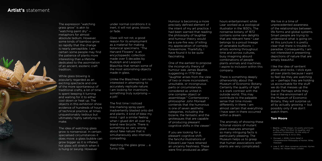Humour is becoming a more precisely defined element of the intent of my art practice. I had been warned that reading the philosophy of laughter and humour theory would be a sure-fire way of killing my appreciation of comedy forevermore. Thankfully, I have found it to be quite fascinating.

One of the earliest to propose the incongruity theory of humour was James Beattie, suggesting in 1779 that "laughter arises from the view of two or more inconsistent, unsuitable, or incongruous parts or circumstances, considered as united in one complex object or assemblage."i Contemporary philosopher John Morreall contends that the humorous is one of seven aesthetic categories, including the bizarre, the fantastic and the grotesques that are capable of producing pleasant cognitive shifts in the viewer.<sup>ii</sup>

If you are looking for a pleasant cognitive shift, the fanciful illustrations of Edward Lear have retained an uncanny freshness. These were first produced as after-

hours entertainment while Lear worked as a zoological illustrator in the 1830's. The nonsense botany of 1872 contains some rare delights that are relevant here.<sup>iii</sup> Lear belongs to a proud lineage of venerable buffoons artists working throughout time and across cultures, busy imagining absurd combinations of people plants animals and machines. I aspire to inclusion within this company.

There is something deeply otherworldly about the Museum of Economic Botany. Certainly the quality of light is a stark contrast with the outside world. This may contribute to the palpable sense that time moves differently in there. I am almost certain that everything I have seen in there occurred within a dream.

The anomaly of showing these fictional visions of mutant plant creatures amongst so many intriguing facts is particularly pleasing. The Museum helps us to grasp that human associations with plants are very complicated.

We live in a time of unprecedented awareness of the relationships between life forms and global systems. Smart people are trying to understand what is going on. At this juncture it is pretty clear that there is trouble in paradise. Consequently, I am not interested in presenting depictions of nature that are simply beautiful.

I like the idea of sentient plants and rocks. I stick eyes all over plants because I want to feel like they are watching us — perhaps they are holding us accountable for the stuff we do that messes up the planet. Perhaps while they live in the environment of the Museum of Economic Botany, they will surprise us all by actually growing — but possibly only if we don't watch them.

### **Tom Moore**

- i Beattie, J. 1779, *Essays. On poetry and music, as they affect the Mind. On laughter, and Ludicrous Composition. On the utility of classical learning*, E. & Co. Dilly.
- ii Morreall, J. 2009, *Comic Relief A Comprehensive Philosophy of Humor*, Wiley, Hoboken.
- iii Lear, E. 1871, *More nonsense, pictures, rhymes botany, etc*. Robert Bush, London.

The expression "watching grass grow" is akin to "watching paint dry" metaphors for almost absolute tedium. However, some kinds of bamboo grow so rapidly that the change is nearly perceptible. I am certain some people may find the patience of plants more interesting than a lifetime dedicated to the assimilation of an ancient, esoteric craft tradition.

While glass blowing is popularly regarded as an exciting spectacle and one of the more spontaneous of traditional crafts, a lot of time is spent keeping it turning and waiting for it to either cool down or heat up. The objects in this exhibition show evidence of hundreds of hours of technical practice, at times unquestionably tedious but ultimately highly satisfying to make.

The idea of watching glass grow is nonsensical. In certain specialised circumstances it does move: a glass bubble can grow bigger as it is inflated, hot glass will stretch when it is hung or swung. However

under normal conditions it is inert, it will not grow, bloom, or fade.

Glass will not rot, a good reason for its employment as a material for making botanical specimens. "The Harvard Flowers" is an encyclopaedic collection made over 5 decades by Rudolph and Leopold Blaschka that remain some of the most astonishing objects made in glass.

Unlike the Blaschkas, I am not interested in attempting to accurately replicate nature. I am looking for inventions, something truly surprising a jolt!

The first time I noticed line-marking spray-paint inadvertently blasted onto dirt and plants, it kind of blew my mind. I got a similar feeling when I glued dirt all over my brand new bicycle. There is something so very wrong about fake nature that is simultaneously also intensely compelling.

Watching the glass grow … a funny title.

### **Artist's** statement

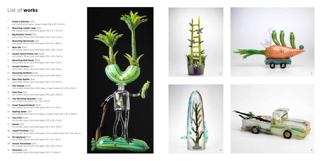- 1. **Pickle Cultivator** 2016 hot joined solid glass, mixed media (84 x 33 x 14cm)
- 2. **Blooming Ladder Legs** 2014 hot joined, blown and solid glass  $(45 \times 17 \times 10 \text{ cm})$
- 3. **Big Brother Carrot** 2012 hot joined, blown and solid glass (26 x 44 x 14cm)
- 4. **Branching Barracuda** 2015 hot joined, blown and solid glass  $(52 \times 16 \times 16 \text{cm})$
- 5. **Blue Ute** 2007 hot joined, blown and solid glass (9.5 x 26 x 12cm)
- 6. **Desert-Island Potato Car** 2008 hot joined, blown and solid glass (34 x 24 x 16cm)
- 7. **Sprouting Bird Stack** 2009 hot joined, blown and solid glass (22 x 39 x 11cm)
- 8. **Growth Medium** 2011 hot joined, blown and solid glass (52 x 32 x 14cm)
- 9. **Sprouting Dollbird** 2008 hot joined, blown and solid glass (24 x 38 x 8cm)
- 10. **New Kitty Bottle** 2016 hot joined, blown and solid glass (92 x 27 x 31cm)
- 11. **The Orphan** 2008 hot Joined, blown and solid glass, mixed media (10 x 19 x 20cm)
- 12. **Pom-Pom** 2011 hot joined, blown and solid glass (25 x 22 x 20cm)
- 13. **The Reclining Sprouter** 2008 hot joined solid glass (13 x 32 x 15cm)
- 14. **Usual Suspectmobeel** 2009 hot joined, blown and solid glass (25 x 17 x 15cm)
- 15. **Sapling Spine** 2014 hot joined blown and solid glass, wooden base (50 x 36 x 25cm)
- 16. **Tree Feet** 2009 hot joined, blown and solid glass (33 x 23 x 13cm)
- 17. **Spook** 2013 hot joined, blown and solid glass (51 x 30 x 15cm)
- 18. **Liquid Fertiliser** 2016 hot joined, blown and solid glass with wooden base (44 x 18 x 18cm)
- 19. **Mr Uglyhead** 2007 hot joined, blown and solid glass (19 x 15 x 12cm)
- 20. **Actual Triceratops** 2013 hot joined, blown and solid glass (26 x 46 x 14cm)
- 21. **Mycelium** 2015 hot joined, blown and solid glass (22 x 11 x 8cm)



# List of **works**





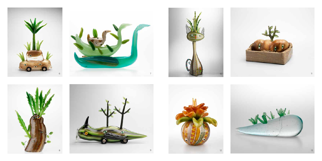











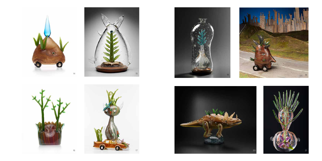



**17**